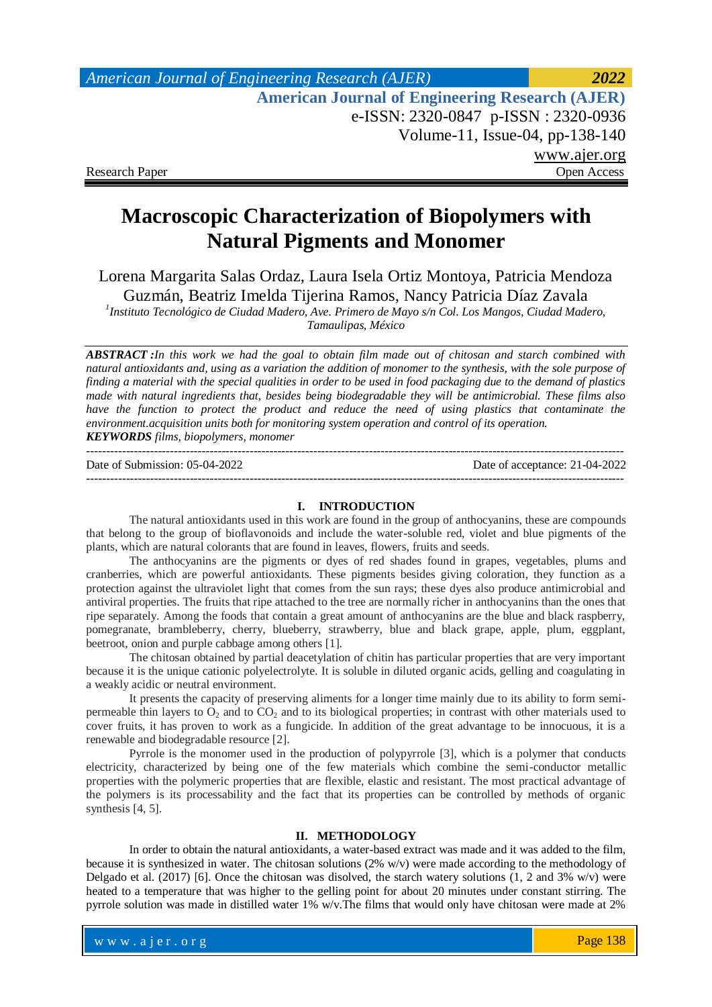# **Macroscopic Characterization of Biopolymers with Natural Pigments and Monomer**

Lorena Margarita Salas Ordaz, Laura Isela Ortiz Montoya, Patricia Mendoza Guzmán, Beatriz Imelda Tijerina Ramos, Nancy Patricia Díaz Zavala

*1 Instituto Tecnológico de Ciudad Madero, Ave. Primero de Mayo s/n Col. Los Mangos, Ciudad Madero, Tamaulipas, México*

*ABSTRACT :In this work we had the goal to obtain film made out of chitosan and starch combined with natural antioxidants and, using as a variation the addition of monomer to the synthesis, with the sole purpose of finding a material with the special qualities in order to be used in food packaging due to the demand of plastics made with natural ingredients that, besides being biodegradable they will be antimicrobial. These films also have the function to protect the product and reduce the need of using plastics that contaminate the environment.acquisition units both for monitoring system operation and control of its operation. KEYWORDS films, biopolymers, monomer*

--------------------------------------------------------------------------------------------------------------------------------------- Date of Submission: 05-04-2022 Date of acceptance: 21-04-2022 ---------------------------------------------------------------------------------------------------------------------------------------

#### **I. INTRODUCTION**

The natural antioxidants used in this work are found in the group of anthocyanins, these are compounds that belong to the group of bioflavonoids and include the water-soluble red, violet and blue pigments of the plants, which are natural colorants that are found in leaves, flowers, fruits and seeds.

The anthocyanins are the pigments or dyes of red shades found in grapes, vegetables, plums and cranberries, which are powerful antioxidants. These pigments besides giving coloration, they function as a protection against the ultraviolet light that comes from the sun rays; these dyes also produce antimicrobial and antiviral properties. The fruits that ripe attached to the tree are normally richer in anthocyanins than the ones that ripe separately. Among the foods that contain a great amount of anthocyanins are the blue and black raspberry, pomegranate, brambleberry, cherry, blueberry, strawberry, blue and black grape, apple, plum, eggplant, beetroot, onion and purple cabbage among others [1].

The chitosan obtained by partial deacetylation of chitin has particular properties that are very important because it is the unique cationic polyelectrolyte. It is soluble in diluted organic acids, gelling and coagulating in a weakly acidic or neutral environment.

It presents the capacity of preserving aliments for a longer time mainly due to its ability to form semipermeable thin layers to  $O_2$  and to  $CO_2$  and to its biological properties; in contrast with other materials used to cover fruits, it has proven to work as a fungicide. In addition of the great advantage to be innocuous, it is a renewable and biodegradable resource [2].

Pyrrole is the monomer used in the production of polypyrrole [3], which is a polymer that conducts electricity, characterized by being one of the few materials which combine the semi-conductor metallic properties with the polymeric properties that are flexible, elastic and resistant. The most practical advantage of the polymers is its processability and the fact that its properties can be controlled by methods of organic synthesis [4, 5].

## **II. METHODOLOGY**

In order to obtain the natural antioxidants, a water-based extract was made and it was added to the film, because it is synthesized in water. The chitosan solutions (2% w/v) were made according to the methodology of Delgado et al. (2017) [6]. Once the chitosan was disolved, the starch watery solutions  $(1, 2 \text{ and } 3\% \text{ w/v})$  were heated to a temperature that was higher to the gelling point for about 20 minutes under constant stirring. The pyrrole solution was made in distilled water 1% w/v.The films that would only have chitosan were made at 2%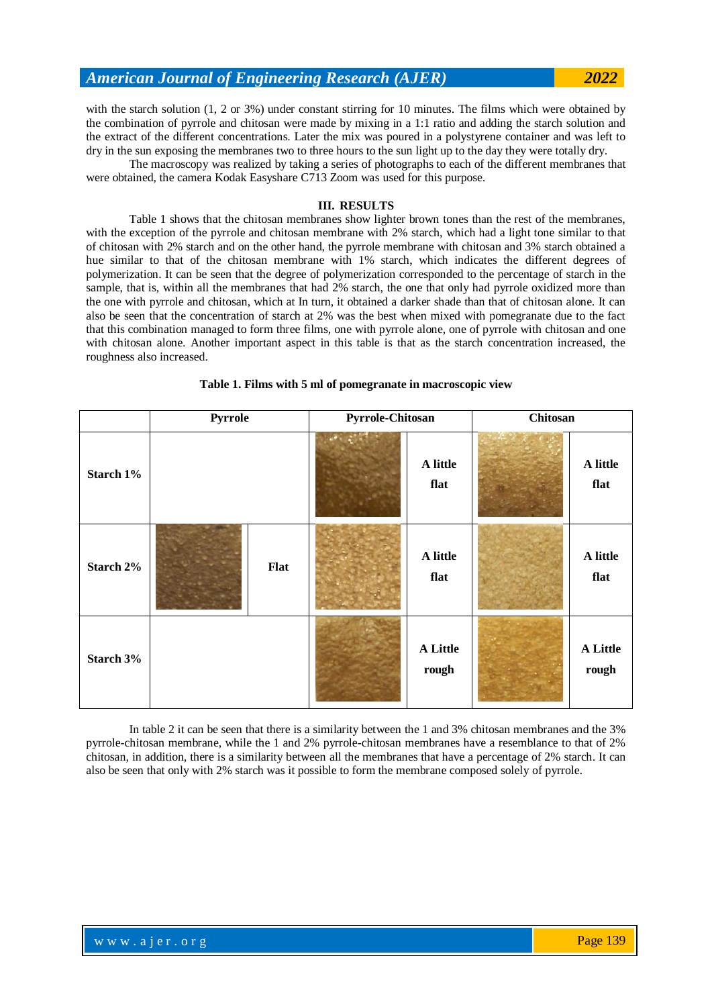with the starch solution (1, 2 or 3%) under constant stirring for 10 minutes. The films which were obtained by the combination of pyrrole and chitosan were made by mixing in a 1:1 ratio and adding the starch solution and the extract of the different concentrations. Later the mix was poured in a polystyrene container and was left to dry in the sun exposing the membranes two to three hours to the sun light up to the day they were totally dry.

The macroscopy was realized by taking a series of photographs to each of the different membranes that were obtained, the camera Kodak Easyshare C713 Zoom was used for this purpose.

### **III. RESULTS**

Table 1 shows that the chitosan membranes show lighter brown tones than the rest of the membranes, with the exception of the pyrrole and chitosan membrane with 2% starch, which had a light tone similar to that of chitosan with 2% starch and on the other hand, the pyrrole membrane with chitosan and 3% starch obtained a hue similar to that of the chitosan membrane with 1% starch, which indicates the different degrees of polymerization. It can be seen that the degree of polymerization corresponded to the percentage of starch in the sample, that is, within all the membranes that had 2% starch, the one that only had pyrrole oxidized more than the one with pyrrole and chitosan, which at In turn, it obtained a darker shade than that of chitosan alone. It can also be seen that the concentration of starch at 2% was the best when mixed with pomegranate due to the fact that this combination managed to form three films, one with pyrrole alone, one of pyrrole with chitosan and one with chitosan alone. Another important aspect in this table is that as the starch concentration increased, the roughness also increased.

|           | Pyrrole |      | <b>Pyrrole-Chitosan</b> |                   | Chitosan |                          |
|-----------|---------|------|-------------------------|-------------------|----------|--------------------------|
| Starch 1% |         |      |                         | A little<br>flat  |          | A little<br>flat         |
| Starch 2% |         | Flat |                         | A little<br>flat  |          | A little<br>flat         |
| Starch 3% |         |      |                         | A Little<br>rough |          | <b>A</b> Little<br>rough |

**Table 1. Films with 5 ml of pomegranate in macroscopic view**

In table 2 it can be seen that there is a similarity between the 1 and 3% chitosan membranes and the 3% pyrrole-chitosan membrane, while the 1 and 2% pyrrole-chitosan membranes have a resemblance to that of 2% chitosan, in addition, there is a similarity between all the membranes that have a percentage of 2% starch. It can also be seen that only with 2% starch was it possible to form the membrane composed solely of pyrrole.